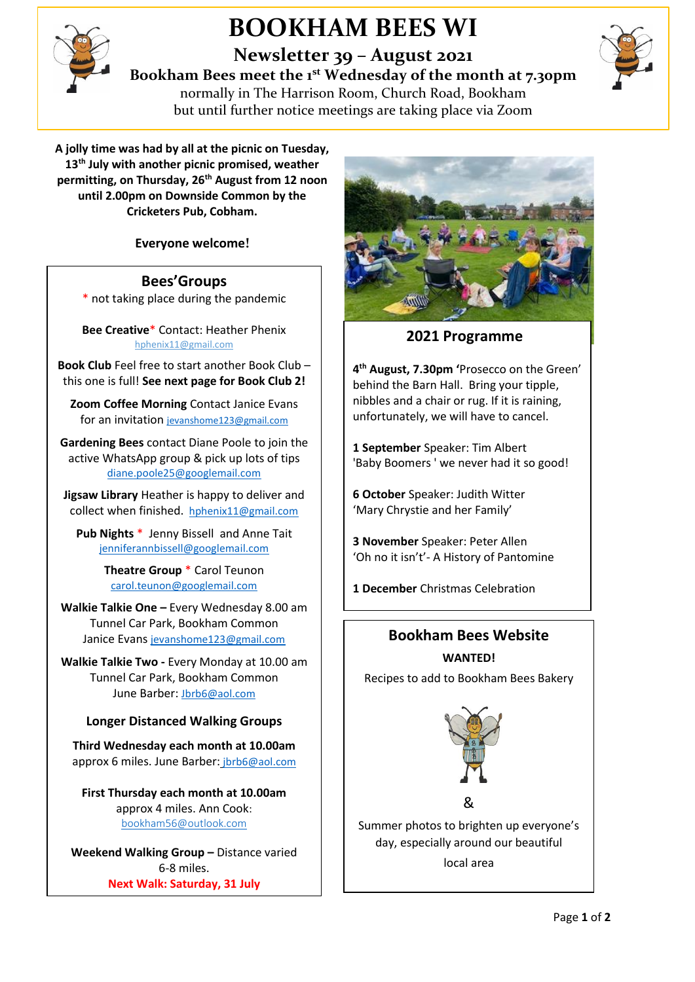

## **BOOKHAM BEES WI**

**Newsletter 39 – August 2021**

**Bookham Bees meet the 1st Wednesday of the month at 7.30pm**



normally in The Harrison Room, Church Road, Bookham but until further notice meetings are taking place via Zoom

**A jolly time was had by all at the picnic on Tuesday, 13th July with another picnic promised, weather permitting, on Thursday, 26th August from 12 noon until 2.00pm on Downside Common by the Cricketers Pub, Cobham.**

**Everyone welcome!**

### **Bees'Groups**

\* not taking place during the pandemic

**Bee Creative**\* Contact: Heather Phenix [hphenix11@gmail.com](mailto:hphenix11@gmail.com)

**Book Club** Feel free to start another Book Club – this one is full! **See next page for Book Club 2!**

**Zoom Coffee Morning** Contact Janice Evans for an invitation [jevanshome123@gmail.com](mailto:jevanshome123@gmail.com)

**Gardening Bees** contact Diane Poole to join the active WhatsApp group & pick up lots of tips [diane.poole25@googlemail.com](mailto:diane.poole25@googlemail.com)

**Jigsaw Library** Heather is happy to deliver and collect when finished. [hphenix11@gmail.com](mailto:hphenix11@gmail.com)

**Pub Nights** \* Jenny Bissell and Anne Tait [jenniferannbissell@googlemail.com](mailto:jenniferannbissell@googlemail.com)

> **Theatre Group** \* Carol Teunon [carol.teunon@googlemail.com](mailto:carol.teunon@googlemail.com)

**Walkie Talkie One –** Every Wednesday 8.00 am Tunnel Car Park, Bookham Common Janice Evans [jevanshome123@gmail.com](mailto:jevanshome123@gmail.com)

**Walkie Talkie Two -** Every Monday at 10.00 am Tunnel Car Park, Bookham Common June Barber: [Jbrb6@aol.com](mailto:Jbrb6@aol.com)

### **Longer Distanced Walking Groups**

**Third Wednesday each month at 10.00am** approx 6 miles. June Barber: [jbrb6@aol.com](mailto:jbrb6@aol.com)

**First Thursday each month at 10.00am** approx 4 miles. Ann Cook: [bookham56@outlook.com](mailto:bookham56@outlook.com)

**Weekend Walking Group –** Distance varied 6-8 miles. **Next Walk: Saturday, 31 July**

June Barber: jaro Barber: jaro Barber: jaro Barber: jaro Barber: jaro Barber: jaro Barber: jaro Barber: jaro B



**2021 Programme**

**4 th August, 7.30pm '**Prosecco on the Green' behind the Barn Hall. Bring your tipple, nibbles and a chair or rug. If it is raining, unfortunately, we will have to cancel.

**1 September** Speaker: Tim Albert 'Baby Boomers ' we never had it so good!

**6 October** Speaker: Judith Witter 'Mary Chrystie and her Family'

**3 November** Speaker: Peter Allen 'Oh no it isn't'- A History of Pantomine

**1 December** Christmas Celebration

## **Bookham Bees Website**

**WANTED!** Recipes to add to Bookham Bees Bakery



Summer photos to brighten up everyone's day, especially around our beautiful local area